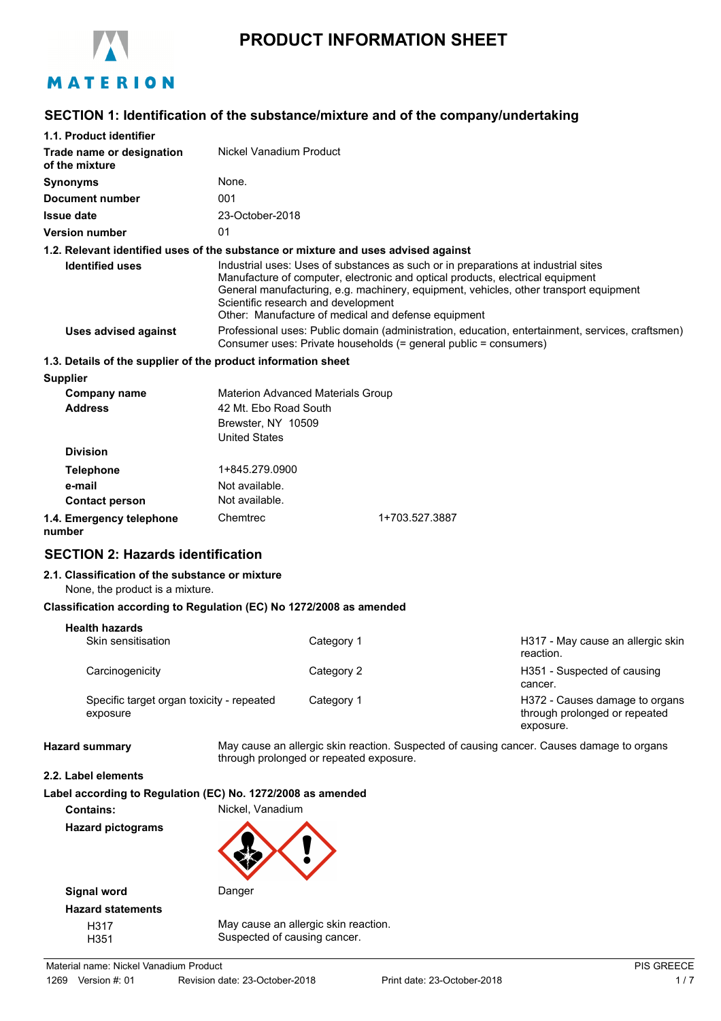

# **PRODUCT INFORMATION SHEET**

# **SECTION 1: Identification of the substance/mixture and of the company/undertaking**

| 1.1. Product identifier                                                            |                                                                     |                                                                                                                                                                      |                                                                                                                                                                                                                                                                                                                      |                                                                                           |
|------------------------------------------------------------------------------------|---------------------------------------------------------------------|----------------------------------------------------------------------------------------------------------------------------------------------------------------------|----------------------------------------------------------------------------------------------------------------------------------------------------------------------------------------------------------------------------------------------------------------------------------------------------------------------|-------------------------------------------------------------------------------------------|
| Trade name or designation<br>of the mixture                                        | Nickel Vanadium Product                                             |                                                                                                                                                                      |                                                                                                                                                                                                                                                                                                                      |                                                                                           |
| <b>Synonyms</b>                                                                    | None.                                                               |                                                                                                                                                                      |                                                                                                                                                                                                                                                                                                                      |                                                                                           |
| Document number                                                                    | 001                                                                 |                                                                                                                                                                      |                                                                                                                                                                                                                                                                                                                      |                                                                                           |
| <b>Issue date</b>                                                                  | 23-October-2018                                                     |                                                                                                                                                                      |                                                                                                                                                                                                                                                                                                                      |                                                                                           |
| <b>Version number</b>                                                              | 01                                                                  |                                                                                                                                                                      |                                                                                                                                                                                                                                                                                                                      |                                                                                           |
| 1.2. Relevant identified uses of the substance or mixture and uses advised against |                                                                     |                                                                                                                                                                      |                                                                                                                                                                                                                                                                                                                      |                                                                                           |
| <b>Identified uses</b>                                                             | Scientific research and development                                 |                                                                                                                                                                      | Industrial uses: Uses of substances as such or in preparations at industrial sites<br>Manufacture of computer, electronic and optical products, electrical equipment<br>General manufacturing, e.g. machinery, equipment, vehicles, other transport equipment<br>Other: Manufacture of medical and defense equipment |                                                                                           |
| <b>Uses advised against</b>                                                        |                                                                     | Professional uses: Public domain (administration, education, entertainment, services, craftsmen)<br>Consumer uses: Private households (= general public = consumers) |                                                                                                                                                                                                                                                                                                                      |                                                                                           |
| 1.3. Details of the supplier of the product information sheet                      |                                                                     |                                                                                                                                                                      |                                                                                                                                                                                                                                                                                                                      |                                                                                           |
| <b>Supplier</b>                                                                    |                                                                     |                                                                                                                                                                      |                                                                                                                                                                                                                                                                                                                      |                                                                                           |
| <b>Company name</b>                                                                | <b>Materion Advanced Materials Group</b>                            |                                                                                                                                                                      |                                                                                                                                                                                                                                                                                                                      |                                                                                           |
| <b>Address</b>                                                                     | 42 Mt. Ebo Road South<br>Brewster, NY 10509<br><b>United States</b> |                                                                                                                                                                      |                                                                                                                                                                                                                                                                                                                      |                                                                                           |
| <b>Division</b>                                                                    |                                                                     |                                                                                                                                                                      |                                                                                                                                                                                                                                                                                                                      |                                                                                           |
| <b>Telephone</b>                                                                   | 1+845.279.0900                                                      |                                                                                                                                                                      |                                                                                                                                                                                                                                                                                                                      |                                                                                           |
| e-mail                                                                             | Not available.                                                      |                                                                                                                                                                      |                                                                                                                                                                                                                                                                                                                      |                                                                                           |
| <b>Contact person</b>                                                              | Not available.                                                      |                                                                                                                                                                      |                                                                                                                                                                                                                                                                                                                      |                                                                                           |
| 1.4. Emergency telephone<br>number                                                 | Chemtrec                                                            |                                                                                                                                                                      | 1+703.527.3887                                                                                                                                                                                                                                                                                                       |                                                                                           |
| <b>SECTION 2: Hazards identification</b>                                           |                                                                     |                                                                                                                                                                      |                                                                                                                                                                                                                                                                                                                      |                                                                                           |
| 2.1. Classification of the substance or mixture<br>None, the product is a mixture. |                                                                     |                                                                                                                                                                      |                                                                                                                                                                                                                                                                                                                      |                                                                                           |
| Classification according to Regulation (EC) No 1272/2008 as amended                |                                                                     |                                                                                                                                                                      |                                                                                                                                                                                                                                                                                                                      |                                                                                           |
| <b>Health hazards</b>                                                              |                                                                     |                                                                                                                                                                      |                                                                                                                                                                                                                                                                                                                      |                                                                                           |
| Skin sensitisation                                                                 |                                                                     | Category 1                                                                                                                                                           |                                                                                                                                                                                                                                                                                                                      | H317 - May cause an allergic skin<br>reaction.                                            |
| Carcinogenicity                                                                    |                                                                     | Category 2                                                                                                                                                           |                                                                                                                                                                                                                                                                                                                      | H351 - Suspected of causing<br>cancer.                                                    |
| Specific target organ toxicity - repeated<br>exposure                              |                                                                     | Category 1                                                                                                                                                           |                                                                                                                                                                                                                                                                                                                      | H372 - Causes damage to organs<br>through prolonged or repeated<br>exposure.              |
| <b>Hazard summary</b>                                                              | through prolonged or repeated exposure.                             |                                                                                                                                                                      |                                                                                                                                                                                                                                                                                                                      | May cause an allergic skin reaction. Suspected of causing cancer. Causes damage to organs |
| 2.2. Label elements                                                                |                                                                     |                                                                                                                                                                      |                                                                                                                                                                                                                                                                                                                      |                                                                                           |
| Label according to Regulation (EC) No. 1272/2008 as amended<br><b>Contains:</b>    | Nickel, Vanadium                                                    |                                                                                                                                                                      |                                                                                                                                                                                                                                                                                                                      |                                                                                           |
| <b>Hazard pictograms</b>                                                           |                                                                     |                                                                                                                                                                      |                                                                                                                                                                                                                                                                                                                      |                                                                                           |



**Signal word** Danger **Hazard statements**

H317 May cause an allergic skin reaction. H351 Suspected of causing cancer.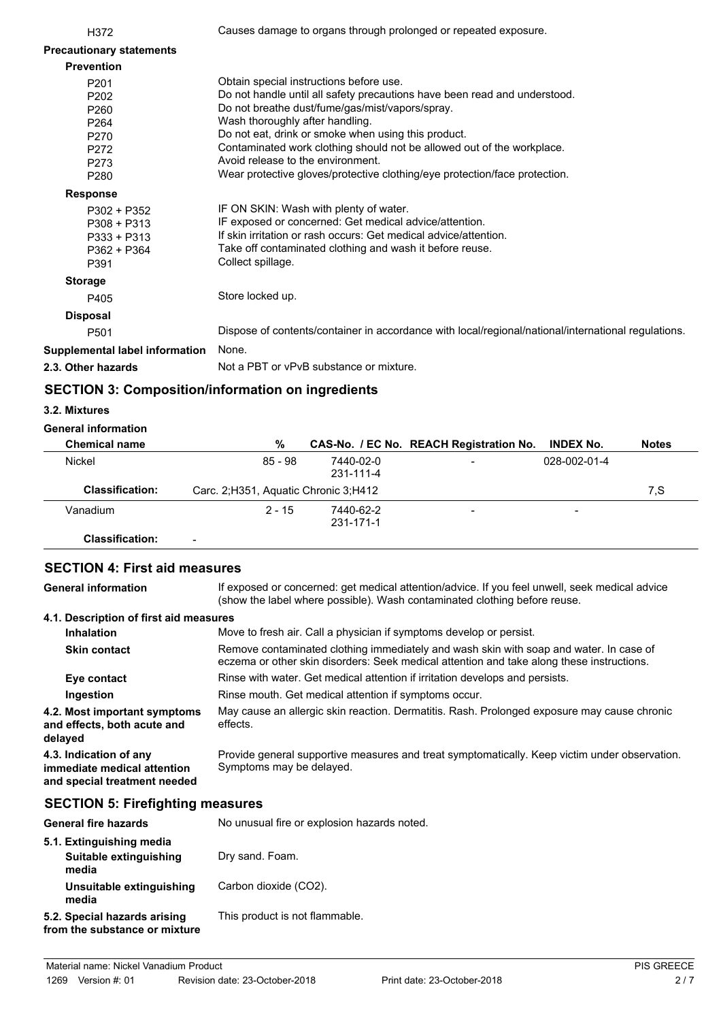| H372                            | Causes damage to organs through prolonged or repeated exposure.                                     |
|---------------------------------|-----------------------------------------------------------------------------------------------------|
| <b>Precautionary statements</b> |                                                                                                     |
| <b>Prevention</b>               |                                                                                                     |
| P201                            | Obtain special instructions before use.                                                             |
| P <sub>202</sub>                | Do not handle until all safety precautions have been read and understood.                           |
| P260                            | Do not breathe dust/fume/gas/mist/vapors/spray.                                                     |
| P <sub>264</sub>                | Wash thoroughly after handling.                                                                     |
| P270                            | Do not eat, drink or smoke when using this product.                                                 |
| P272                            | Contaminated work clothing should not be allowed out of the workplace.                              |
| P273                            | Avoid release to the environment.                                                                   |
| P280                            | Wear protective gloves/protective clothing/eye protection/face protection.                          |
| <b>Response</b>                 |                                                                                                     |
| P302 + P352                     | IF ON SKIN: Wash with plenty of water.                                                              |
| $P308 + P313$                   | IF exposed or concerned: Get medical advice/attention.                                              |
| $P333 + P313$                   | If skin irritation or rash occurs: Get medical advice/attention.                                    |
| P362 + P364                     | Take off contaminated clothing and wash it before reuse.                                            |
| P391                            | Collect spillage.                                                                                   |
| <b>Storage</b>                  |                                                                                                     |
| P405                            | Store locked up.                                                                                    |
| <b>Disposal</b>                 |                                                                                                     |
| P <sub>501</sub>                | Dispose of contents/container in accordance with local/regional/national/international regulations. |
| Supplemental label information  | None.                                                                                               |
| 2.3. Other hazards              | Not a PBT or vPvB substance or mixture.                                                             |
|                                 |                                                                                                     |

# **SECTION 3: Composition/information on ingredients**

### **3.2. Mixtures**

## **General information**

| <b>Chemical name</b>   | %                                      |                        | CAS-No. / EC No. REACH Registration No. | <b>INDEX No.</b>         | <b>Notes</b> |
|------------------------|----------------------------------------|------------------------|-----------------------------------------|--------------------------|--------------|
| Nickel                 | 85 - 98                                | 7440-02-0<br>231-111-4 | -                                       | 028-002-01-4             |              |
| <b>Classification:</b> | Carc. 2; H351, Aquatic Chronic 3; H412 |                        |                                         |                          | 7.S          |
| Vanadium               | $2 - 15$                               | 7440-62-2<br>231-171-1 | -                                       | $\overline{\phantom{0}}$ |              |
| Classification:        |                                        |                        |                                         |                          |              |

# **SECTION 4: First aid measures**

If exposed or concerned: get medical attention/advice. If you feel unwell, seek medical advice (show the label where possible). Wash contaminated clothing before reuse. **General information 4.1. Description of first aid measures Inhalation** Move to fresh air. Call a physician if symptoms develop or persist. Remove contaminated clothing immediately and wash skin with soap and water. In case of eczema or other skin disorders: Seek medical attention and take along these instructions. **Skin contact Eye contact** Rinse with water. Get medical attention if irritation develops and persists. **Ingestion** Rinse mouth. Get medical attention if symptoms occur. May cause an allergic skin reaction. Dermatitis. Rash. Prolonged exposure may cause chronic effects. **4.2. Most important symptoms and effects, both acute and delayed** Provide general supportive measures and treat symptomatically. Keep victim under observation. Symptoms may be delayed. **4.3. Indication of any immediate medical attention and special treatment needed**

# **SECTION 5: Firefighting measures**

| <b>General fire hazards</b>                                   | No unusual fire or explosion hazards noted. |
|---------------------------------------------------------------|---------------------------------------------|
| 5.1. Extinguishing media<br>Suitable extinguishing            | Dry sand. Foam.                             |
| media<br>Unsuitable extinguishing<br>media                    | Carbon dioxide (CO2).                       |
| 5.2. Special hazards arising<br>from the substance or mixture | This product is not flammable.              |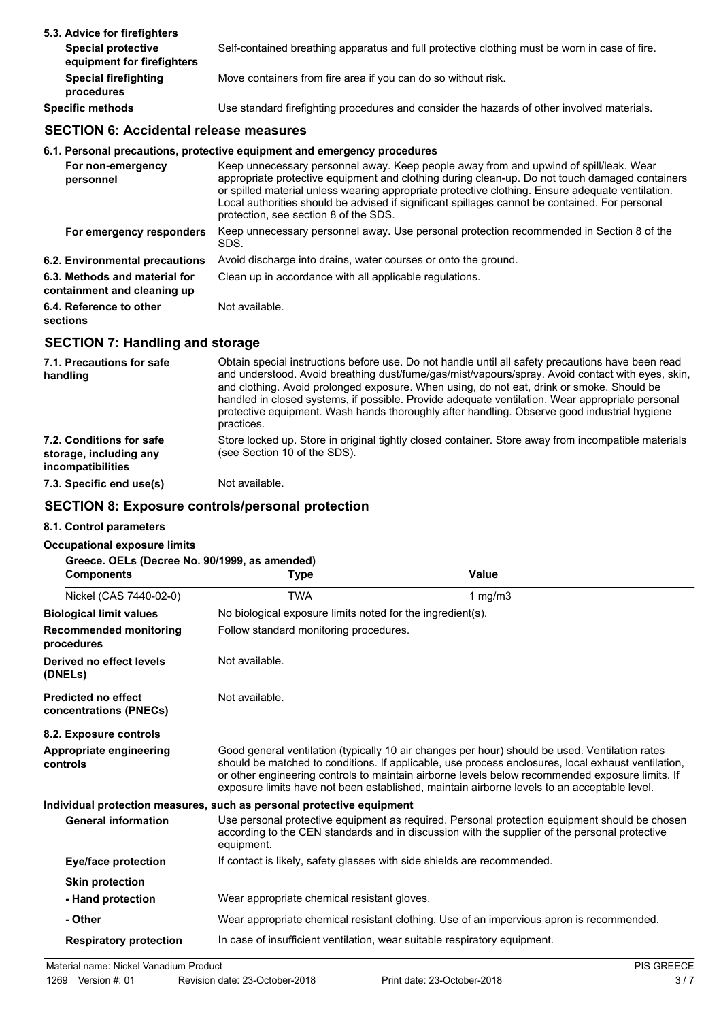| 5.3. Advice for firefighters                            |                                                                                               |
|---------------------------------------------------------|-----------------------------------------------------------------------------------------------|
| <b>Special protective</b><br>equipment for firefighters | Self-contained breathing apparatus and full protective clothing must be worn in case of fire. |
| <b>Special firefighting</b><br>procedures               | Move containers from fire area if you can do so without risk.                                 |
| <b>Specific methods</b>                                 | Use standard firefighting procedures and consider the hazards of other involved materials.    |

# **SECTION 6: Accidental release measures**

# **6.1. Personal precautions, protective equipment and emergency procedures**

| For non-emergency<br>personnel                               | Keep unnecessary personnel away. Keep people away from and upwind of spill/leak. Wear<br>appropriate protective equipment and clothing during clean-up. Do not touch damaged containers<br>or spilled material unless wearing appropriate protective clothing. Ensure adequate ventilation.<br>Local authorities should be advised if significant spillages cannot be contained. For personal<br>protection, see section 8 of the SDS. |
|--------------------------------------------------------------|----------------------------------------------------------------------------------------------------------------------------------------------------------------------------------------------------------------------------------------------------------------------------------------------------------------------------------------------------------------------------------------------------------------------------------------|
| For emergency responders                                     | Keep unnecessary personnel away. Use personal protection recommended in Section 8 of the<br>SDS.                                                                                                                                                                                                                                                                                                                                       |
| 6.2. Environmental precautions                               | Avoid discharge into drains, water courses or onto the ground.                                                                                                                                                                                                                                                                                                                                                                         |
| 6.3. Methods and material for<br>containment and cleaning up | Clean up in accordance with all applicable regulations.                                                                                                                                                                                                                                                                                                                                                                                |
| 6.4. Reference to other<br>sections                          | Not available.                                                                                                                                                                                                                                                                                                                                                                                                                         |

# **SECTION 7: Handling and storage**

| 7.1. Precautions for safe<br>handling                                   | Obtain special instructions before use. Do not handle until all safety precautions have been read<br>and understood. Avoid breathing dust/fume/gas/mist/vapours/spray. Avoid contact with eyes, skin,<br>and clothing. Avoid prolonged exposure. When using, do not eat, drink or smoke. Should be<br>handled in closed systems, if possible. Provide adequate ventilation. Wear appropriate personal<br>protective equipment. Wash hands thoroughly after handling. Observe good industrial hygiene<br>practices. |
|-------------------------------------------------------------------------|--------------------------------------------------------------------------------------------------------------------------------------------------------------------------------------------------------------------------------------------------------------------------------------------------------------------------------------------------------------------------------------------------------------------------------------------------------------------------------------------------------------------|
| 7.2. Conditions for safe<br>storage, including any<br>incompatibilities | Store locked up. Store in original tightly closed container. Store away from incompatible materials<br>(see Section 10 of the SDS).                                                                                                                                                                                                                                                                                                                                                                                |
| 7.3. Specific end use(s)                                                | Not available.                                                                                                                                                                                                                                                                                                                                                                                                                                                                                                     |

## **SECTION 8: Exposure controls/personal protection**

## **8.1. Control parameters**

### **Occupational exposure limits**

| Greece. OELs (Decree No. 90/1999, as amended)<br><b>Components</b> | Type                                                                    | Value                                                                                                                                                                                                                                                                                                                                                                                                  |
|--------------------------------------------------------------------|-------------------------------------------------------------------------|--------------------------------------------------------------------------------------------------------------------------------------------------------------------------------------------------------------------------------------------------------------------------------------------------------------------------------------------------------------------------------------------------------|
| Nickel (CAS 7440-02-0)                                             | <b>TWA</b>                                                              | 1 $mg/m3$                                                                                                                                                                                                                                                                                                                                                                                              |
| <b>Biological limit values</b>                                     | No biological exposure limits noted for the ingredient(s).              |                                                                                                                                                                                                                                                                                                                                                                                                        |
| <b>Recommended monitoring</b><br>procedures                        | Follow standard monitoring procedures.                                  |                                                                                                                                                                                                                                                                                                                                                                                                        |
| Derived no effect levels<br>(DNELs)                                | Not available.                                                          |                                                                                                                                                                                                                                                                                                                                                                                                        |
| <b>Predicted no effect</b><br>concentrations (PNECs)               | Not available.                                                          |                                                                                                                                                                                                                                                                                                                                                                                                        |
| 8.2. Exposure controls                                             |                                                                         |                                                                                                                                                                                                                                                                                                                                                                                                        |
| Appropriate engineering<br>controls                                |                                                                         | Good general ventilation (typically 10 air changes per hour) should be used. Ventilation rates<br>should be matched to conditions. If applicable, use process enclosures, local exhaust ventilation,<br>or other engineering controls to maintain airborne levels below recommended exposure limits. If<br>exposure limits have not been established, maintain airborne levels to an acceptable level. |
|                                                                    | Individual protection measures, such as personal protective equipment   |                                                                                                                                                                                                                                                                                                                                                                                                        |
| <b>General information</b>                                         | equipment.                                                              | Use personal protective equipment as required. Personal protection equipment should be chosen<br>according to the CEN standards and in discussion with the supplier of the personal protective                                                                                                                                                                                                         |
| <b>Eye/face protection</b>                                         | If contact is likely, safety glasses with side shields are recommended. |                                                                                                                                                                                                                                                                                                                                                                                                        |
| <b>Skin protection</b>                                             |                                                                         |                                                                                                                                                                                                                                                                                                                                                                                                        |
| - Hand protection                                                  | Wear appropriate chemical resistant gloves.                             |                                                                                                                                                                                                                                                                                                                                                                                                        |
| - Other                                                            |                                                                         | Wear appropriate chemical resistant clothing. Use of an impervious apron is recommended.                                                                                                                                                                                                                                                                                                               |
| <b>Respiratory protection</b>                                      |                                                                         | In case of insufficient ventilation, wear suitable respiratory equipment.                                                                                                                                                                                                                                                                                                                              |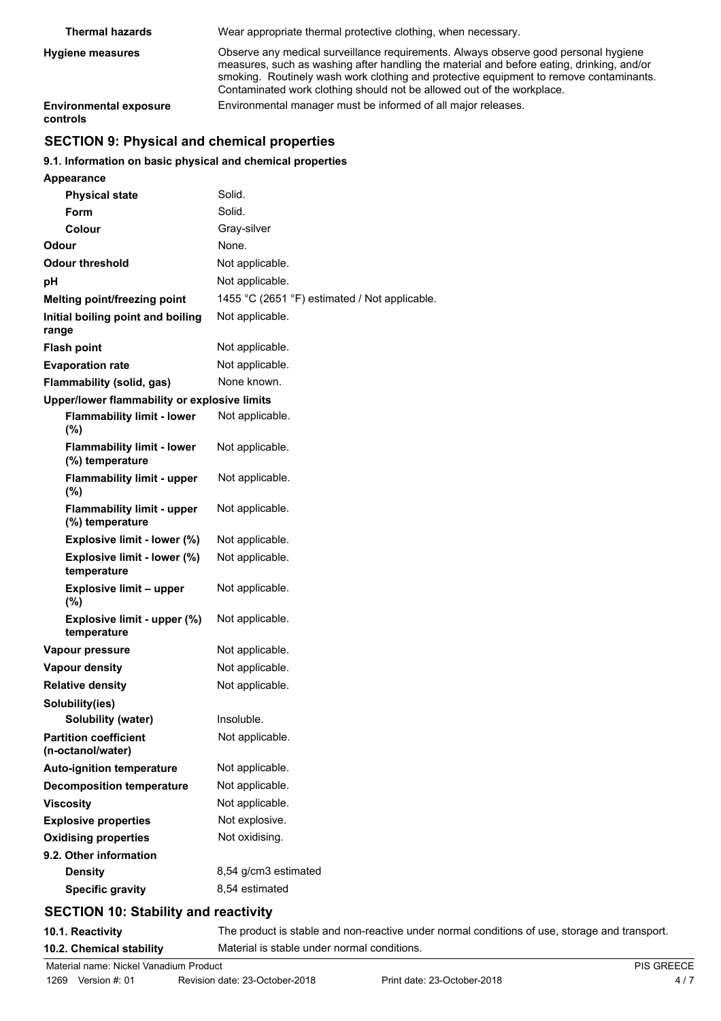| <b>Thermal hazards</b>                    | Wear appropriate thermal protective clothing, when necessary.                                                                                                                                                                                                                                                                                        |
|-------------------------------------------|------------------------------------------------------------------------------------------------------------------------------------------------------------------------------------------------------------------------------------------------------------------------------------------------------------------------------------------------------|
| <b>Hygiene measures</b>                   | Observe any medical surveillance requirements. Always observe good personal hygiene<br>measures, such as washing after handling the material and before eating, drinking, and/or<br>smoking. Routinely wash work clothing and protective equipment to remove contaminants.<br>Contaminated work clothing should not be allowed out of the workplace. |
| <b>Environmental exposure</b><br>controls | Environmental manager must be informed of all major releases.                                                                                                                                                                                                                                                                                        |

# **SECTION 9: Physical and chemical properties**

## **9.1. Information on basic physical and chemical properties**

| <b>Appearance</b>                                    |                                               |
|------------------------------------------------------|-----------------------------------------------|
| <b>Physical state</b>                                | Solid.                                        |
| <b>Form</b>                                          | Solid.                                        |
| Colour                                               | Gray-silver                                   |
| Odour                                                | None.                                         |
| Odour threshold                                      | Not applicable.                               |
| рH                                                   | Not applicable.                               |
| Melting point/freezing point                         | 1455 °C (2651 °F) estimated / Not applicable. |
| Initial boiling point and boiling<br>range           | Not applicable.                               |
| <b>Flash point</b>                                   | Not applicable.                               |
| <b>Evaporation rate</b>                              | Not applicable.                               |
| Flammability (solid, gas)                            | None known.                                   |
| Upper/lower flammability or explosive limits         |                                               |
| <b>Flammability limit - lower</b><br>(%)             | Not applicable.                               |
| <b>Flammability limit - lower</b><br>(%) temperature | Not applicable.                               |
| <b>Flammability limit - upper</b><br>(%)             | Not applicable.                               |
| <b>Flammability limit - upper</b><br>(%) temperature | Not applicable.                               |
| Explosive limit - lower (%)                          | Not applicable.                               |
| Explosive limit - lower (%)<br>temperature           | Not applicable.                               |
| <b>Explosive limit - upper</b><br>$(\%)$             | Not applicable.                               |
| Explosive limit - upper (%)<br>temperature           | Not applicable.                               |
| Vapour pressure                                      | Not applicable.                               |
| <b>Vapour density</b>                                | Not applicable.                               |
| <b>Relative density</b>                              | Not applicable.                               |
| Solubility(ies)                                      |                                               |
| <b>Solubility (water)</b>                            | Insoluble.                                    |
| <b>Partition coefficient</b><br>(n-octanol/water)    | Not applicable.                               |
| <b>Auto-ignition temperature</b>                     | Not applicable.                               |
| <b>Decomposition temperature</b>                     | Not applicable.                               |
| <b>Viscosity</b>                                     | Not applicable.                               |
| <b>Explosive properties</b>                          | Not explosive.                                |
| <b>Oxidising properties</b>                          | Not oxidising.                                |
| 9.2. Other information                               |                                               |
| <b>Density</b>                                       | 8,54 g/cm3 estimated                          |
| <b>Specific gravity</b>                              | 8,54 estimated                                |

# **SECTION 10: Stability and reactivity**

**10.1. Reactivity** The product is stable and non-reactive under normal conditions of use, storage and transport. **10.2. Chemical stability** Material is stable under normal conditions.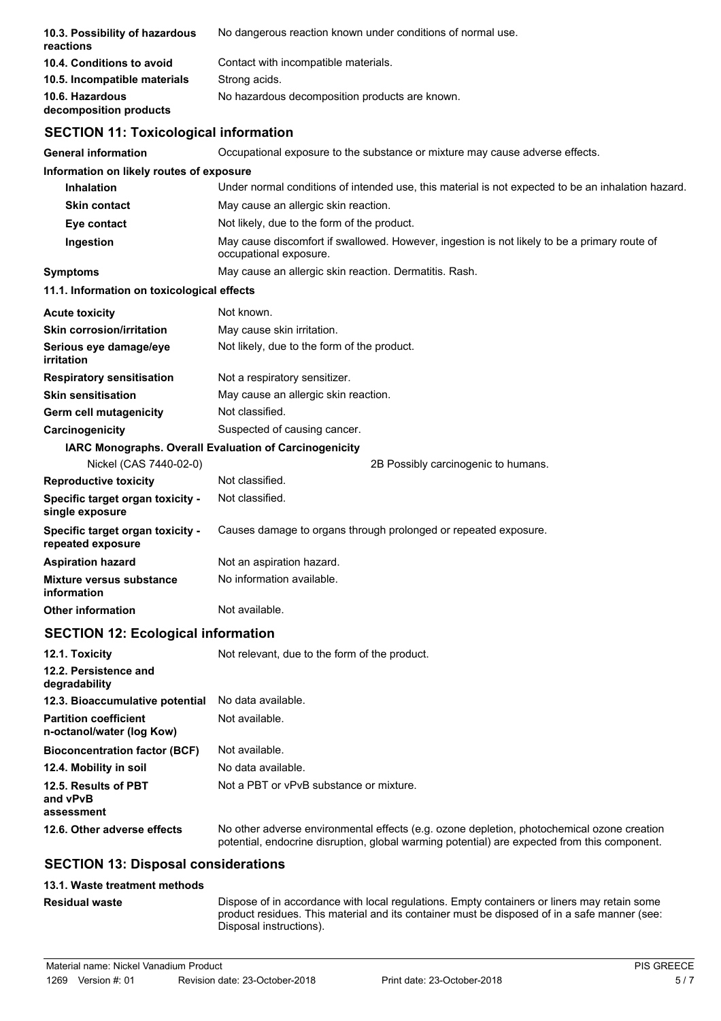| 10.3. Possibility of hazardous<br>reactions               | No dangerous reaction known under conditions of normal use.                                                                                                                                |
|-----------------------------------------------------------|--------------------------------------------------------------------------------------------------------------------------------------------------------------------------------------------|
| 10.4. Conditions to avoid                                 | Contact with incompatible materials.                                                                                                                                                       |
| 10.5. Incompatible materials                              | Strong acids.                                                                                                                                                                              |
| 10.6. Hazardous<br>decomposition products                 | No hazardous decomposition products are known.                                                                                                                                             |
| <b>SECTION 11: Toxicological information</b>              |                                                                                                                                                                                            |
| <b>General information</b>                                | Occupational exposure to the substance or mixture may cause adverse effects.                                                                                                               |
| Information on likely routes of exposure                  |                                                                                                                                                                                            |
| <b>Inhalation</b>                                         | Under normal conditions of intended use, this material is not expected to be an inhalation hazard.                                                                                         |
| <b>Skin contact</b>                                       | May cause an allergic skin reaction.                                                                                                                                                       |
| Eye contact                                               | Not likely, due to the form of the product.                                                                                                                                                |
| Ingestion                                                 | May cause discomfort if swallowed. However, ingestion is not likely to be a primary route of<br>occupational exposure.                                                                     |
| <b>Symptoms</b>                                           | May cause an allergic skin reaction. Dermatitis. Rash.                                                                                                                                     |
| 11.1. Information on toxicological effects                |                                                                                                                                                                                            |
| <b>Acute toxicity</b>                                     | Not known.                                                                                                                                                                                 |
| <b>Skin corrosion/irritation</b>                          | May cause skin irritation.                                                                                                                                                                 |
| Serious eye damage/eye<br>irritation                      | Not likely, due to the form of the product.                                                                                                                                                |
| <b>Respiratory sensitisation</b>                          | Not a respiratory sensitizer.                                                                                                                                                              |
| <b>Skin sensitisation</b>                                 | May cause an allergic skin reaction.                                                                                                                                                       |
| Germ cell mutagenicity                                    | Not classified.                                                                                                                                                                            |
| Carcinogenicity                                           | Suspected of causing cancer.                                                                                                                                                               |
|                                                           | IARC Monographs. Overall Evaluation of Carcinogenicity                                                                                                                                     |
| Nickel (CAS 7440-02-0)                                    | 2B Possibly carcinogenic to humans.                                                                                                                                                        |
| <b>Reproductive toxicity</b>                              | Not classified.                                                                                                                                                                            |
| Specific target organ toxicity -<br>single exposure       | Not classified.                                                                                                                                                                            |
| Specific target organ toxicity -<br>repeated exposure     | Causes damage to organs through prolonged or repeated exposure.                                                                                                                            |
| Aspiration hazard                                         | Not an aspiration hazard.                                                                                                                                                                  |
| <b>Mixture versus substance</b><br>information            | No information available.                                                                                                                                                                  |
| <b>Other information</b>                                  | Not available.                                                                                                                                                                             |
| <b>SECTION 12: Ecological information</b>                 |                                                                                                                                                                                            |
| 12.1. Toxicity                                            | Not relevant, due to the form of the product.                                                                                                                                              |
| 12.2. Persistence and<br>degradability                    |                                                                                                                                                                                            |
| 12.3. Bioaccumulative potential                           | No data available.                                                                                                                                                                         |
| <b>Partition coefficient</b><br>n-octanol/water (log Kow) | Not available.                                                                                                                                                                             |
| <b>Bioconcentration factor (BCF)</b>                      | Not available.                                                                                                                                                                             |
| 12.4. Mobility in soil                                    | No data available.                                                                                                                                                                         |
| 12.5. Results of PBT<br>and vPvB                          | Not a PBT or vPvB substance or mixture.                                                                                                                                                    |
| assessment                                                |                                                                                                                                                                                            |
| 12.6. Other adverse effects                               | No other adverse environmental effects (e.g. ozone depletion, photochemical ozone creation<br>potential, endocrine disruption, global warming potential) are expected from this component. |
| <b>SECTION 13: Disposal considerations</b>                |                                                                                                                                                                                            |
| 40.4. Washington Andrew Construction                      |                                                                                                                                                                                            |

**13.1. Waste treatment methods**

**Residual waste**

Dispose of in accordance with local regulations. Empty containers or liners may retain some product residues. This material and its container must be disposed of in a safe manner (see: Disposal instructions).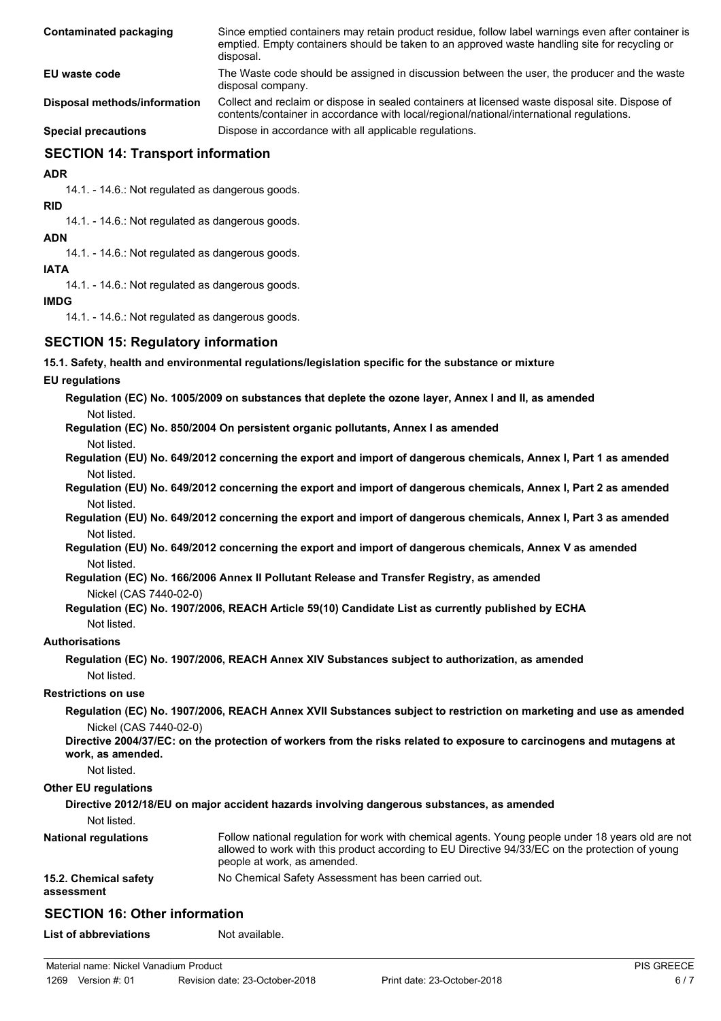| Contaminated packaging       | Since emptied containers may retain product residue, follow label warnings even after container is<br>emptied. Empty containers should be taken to an approved waste handling site for recycling or<br>disposal. |
|------------------------------|------------------------------------------------------------------------------------------------------------------------------------------------------------------------------------------------------------------|
| EU waste code                | The Waste code should be assigned in discussion between the user, the producer and the waste<br>disposal company.                                                                                                |
| Disposal methods/information | Collect and reclaim or dispose in sealed containers at licensed waste disposal site. Dispose of<br>contents/container in accordance with local/regional/national/international regulations.                      |
| <b>Special precautions</b>   | Dispose in accordance with all applicable regulations.                                                                                                                                                           |

## **SECTION 14: Transport information**

**ADR**

14.1. - 14.6.: Not regulated as dangerous goods.

**RID**

14.1. - 14.6.: Not regulated as dangerous goods.

**ADN**

14.1. - 14.6.: Not regulated as dangerous goods.

**IATA**

14.1. - 14.6.: Not regulated as dangerous goods.

## **IMDG**

14.1. - 14.6.: Not regulated as dangerous goods.

## **SECTION 15: Regulatory information**

**15.1. Safety, health and environmental regulations/legislation specific for the substance or mixture**

## **EU regulations**

**Regulation (EC) No. 1005/2009 on substances that deplete the ozone layer, Annex I and II, as amended** Not listed.

**Regulation (EC) No. 850/2004 On persistent organic pollutants, Annex I as amended**

- Not listed.
- **Regulation (EU) No. 649/2012 concerning the export and import of dangerous chemicals, Annex I, Part 1 as amended** Not listed.
- **Regulation (EU) No. 649/2012 concerning the export and import of dangerous chemicals, Annex I, Part 2 as amended** Not listed.
- **Regulation (EU) No. 649/2012 concerning the export and import of dangerous chemicals, Annex I, Part 3 as amended** Not listed.

**Regulation (EU) No. 649/2012 concerning the export and import of dangerous chemicals, Annex V as amended** Not listed.

**Regulation (EC) No. 166/2006 Annex II Pollutant Release and Transfer Registry, as amended**

Nickel (CAS 7440-02-0)

#### **Regulation (EC) No. 1907/2006, REACH Article 59(10) Candidate List as currently published by ECHA** Not listed.

# **Authorisations**

**Regulation (EC) No. 1907/2006, REACH Annex XIV Substances subject to authorization, as amended** Not listed.

## **Restrictions on use**

**Regulation (EC) No. 1907/2006, REACH Annex XVII Substances subject to restriction on marketing and use as amended** Nickel (CAS 7440-02-0)

**Directive 2004/37/EC: on the protection of workers from the risks related to exposure to carcinogens and mutagens at work, as amended.**

Not listed.

## **Other EU regulations**

## **Directive 2012/18/EU on major accident hazards involving dangerous substances, as amended**

Not listed.

| <b>National regulations</b>         | Follow national regulation for work with chemical agents. Young people under 18 years old are not<br>allowed to work with this product according to EU Directive 94/33/EC on the protection of young<br>people at work, as amended. |
|-------------------------------------|-------------------------------------------------------------------------------------------------------------------------------------------------------------------------------------------------------------------------------------|
| 15.2. Chemical safety<br>assessment | No Chemical Safety Assessment has been carried out.                                                                                                                                                                                 |

# **SECTION 16: Other information**

**List of abbreviations** Not available.